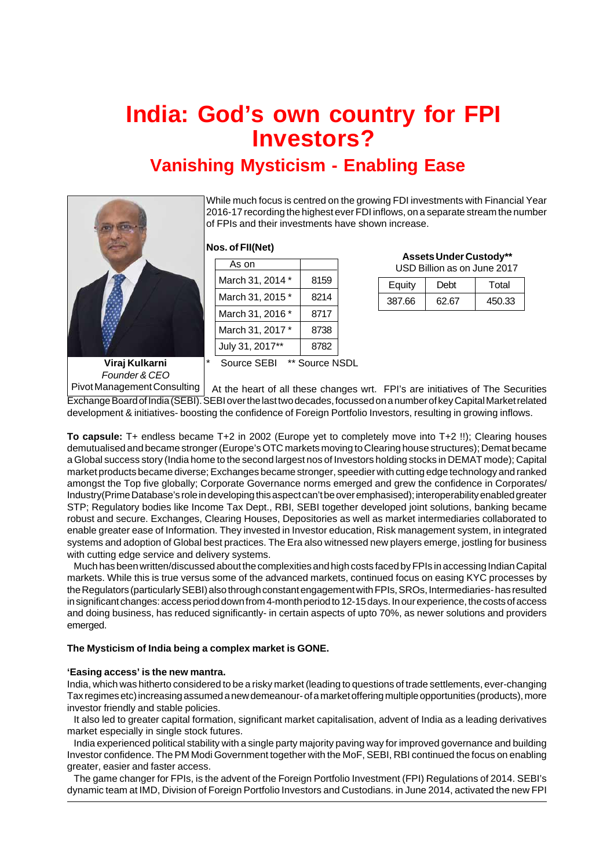# **India: God's own country for FPI Investors?**

# **Vanishing Mysticism - Enabling Ease**



While much focus is centred on the growing FDI investments with Financial Year 2016-17 recording the highest ever FDI inflows, on a separate stream the number of FPIs and their investments have shown increase.

# **Nos. of FII(Net)**

| As on            |      |
|------------------|------|
| March 31, 2014 * | 8159 |
| March 31, 2015*  | 8214 |
| March 31, 2016 * | 8717 |
| March 31, 2017 * | 8738 |
| July 31, 2017**  | 8782 |

 **Assets Under Custody\*\*** USD Billion as on June 2017

| <u>OUD DIIIUITAS UITJUITE ZUTT</u> |       |        |
|------------------------------------|-------|--------|
| Equity                             | Debt  | Total  |
| 387.66                             | 62.67 | 450.33 |

**Viraj Kulkarni** *Founder & CEO* Source SEBI \*\* Source NSDL

Pivot Management Consulting | At the heart of all these changes wrt. FPI's are initiatives of The Securities Exchange Board of India (SEBI). SEBI over the last two decades, focussed on a number of key Capital Market related development & initiatives- boosting the confidence of Foreign Portfolio Investors, resulting in growing inflows.

**To capsule:** T+ endless became T+2 in 2002 (Europe yet to completely move into T+2 !!); Clearing houses demutualised and became stronger (Europe's OTC markets moving to Clearing house structures); Demat became a Global success story (India home to the second largest nos of Investors holding stocks in DEMAT mode); Capital market products became diverse; Exchanges became stronger, speedier with cutting edge technology and ranked amongst the Top five globally; Corporate Governance norms emerged and grew the confidence in Corporates/ Industry(Prime Database's role in developing this aspect can't be over emphasised); interoperability enabled greater STP; Regulatory bodies like Income Tax Dept., RBI, SEBI together developed joint solutions, banking became robust and secure. Exchanges, Clearing Houses, Depositories as well as market intermediaries collaborated to enable greater ease of Information. They invested in Investor education, Risk management system, in integrated systems and adoption of Global best practices. The Era also witnessed new players emerge, jostling for business with cutting edge service and delivery systems.

Much has been written/discussed about the complexities and high costs faced by FPIs in accessing Indian Capital markets. While this is true versus some of the advanced markets, continued focus on easing KYC processes by the Regulators (particularly SEBI) also through constant engagement with FPIs, SROs, Intermediaries- has resulted in significant changes: access period down from 4-month period to 12-15 days. In our experience, the costs of access and doing business, has reduced significantly- in certain aspects of upto 70%, as newer solutions and providers emerged.

# **The Mysticism of India being a complex market is GONE.**

# **'Easing access' is the new mantra.**

India, which was hitherto considered to be a risky market (leading to questions of trade settlements, ever-changing Tax regimes etc) increasing assumed a new demeanour- of a market offering multiple opportunities (products), more investor friendly and stable policies.

It also led to greater capital formation, significant market capitalisation, advent of India as a leading derivatives market especially in single stock futures.

India experienced political stability with a single party majority paving way for improved governance and building Investor confidence. The PM Modi Government together with the MoF, SEBI, RBI continued the focus on enabling greater, easier and faster access.

The game changer for FPIs, is the advent of the Foreign Portfolio Investment (FPI) Regulations of 2014. SEBI's dynamic team at IMD, Division of Foreign Portfolio Investors and Custodians. in June 2014, activated the new FPI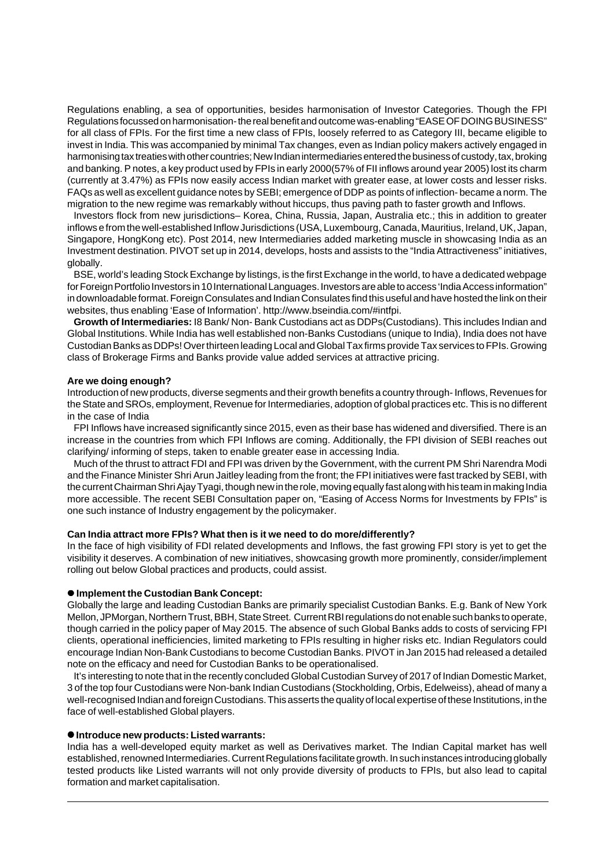Regulations enabling, a sea of opportunities, besides harmonisation of Investor Categories. Though the FPI Regulations focussed on harmonisation- the real benefit and outcome was-enabling "EASE OF DOING BUSINESS" for all class of FPIs. For the first time a new class of FPIs, loosely referred to as Category III, became eligible to invest in India. This was accompanied by minimal Tax changes, even as Indian policy makers actively engaged in harmonising tax treaties with other countries; New Indian intermediaries entered the business of custody, tax, broking and banking. P notes, a key product used by FPIs in early 2000(57% of FII inflows around year 2005) lost its charm (currently at 3.47%) as FPIs now easily access Indian market with greater ease, at lower costs and lesser risks. FAQs as well as excellent guidance notes by SEBI; emergence of DDP as points of inflection- became a norm. The migration to the new regime was remarkably without hiccups, thus paving path to faster growth and Inflows.

Investors flock from new jurisdictions– Korea, China, Russia, Japan, Australia etc.; this in addition to greater inflows e from the well-established Inflow Jurisdictions (USA, Luxembourg, Canada, Mauritius, Ireland, UK, Japan, Singapore, HongKong etc). Post 2014, new Intermediaries added marketing muscle in showcasing India as an Investment destination. PIVOT set up in 2014, develops, hosts and assists to the "India Attractiveness" initiatives, globally.

BSE, world's leading Stock Exchange by listings, is the first Exchange in the world, to have a dedicated webpage for Foreign Portfolio Investors in 10 International Languages. Investors are able to access 'India Access information" in downloadable format. Foreign Consulates and Indian Consulates find this useful and have hosted the link on their websites, thus enabling 'Ease of Information'. http://www.bseindia.com/#intfpi.

**Growth of Intermediaries:** I8 Bank/ Non- Bank Custodians act as DDPs(Custodians). This includes Indian and Global Institutions. While India has well established non-Banks Custodians (unique to India), India does not have Custodian Banks as DDPs! Over thirteen leading Local and Global Tax firms provide Tax services to FPIs. Growing class of Brokerage Firms and Banks provide value added services at attractive pricing.

#### **Are we doing enough?**

Introduction of new products, diverse segments and their growth benefits a country through- Inflows, Revenues for the State and SROs, employment, Revenue for Intermediaries, adoption of global practices etc. This is no different in the case of India

FPI Inflows have increased significantly since 2015, even as their base has widened and diversified. There is an increase in the countries from which FPI Inflows are coming. Additionally, the FPI division of SEBI reaches out clarifying/ informing of steps, taken to enable greater ease in accessing India.

Much of the thrust to attract FDI and FPI was driven by the Government, with the current PM Shri Narendra Modi and the Finance Minister Shri Arun Jaitley leading from the front; the FPI initiatives were fast tracked by SEBI, with the current Chairman Shri Ajay Tyagi, though new in the role, moving equally fast along with his team in making India more accessible. The recent SEBI Consultation paper on, "Easing of Access Norms for Investments by FPIs" is one such instance of Industry engagement by the policymaker.

# **Can India attract more FPIs? What then is it we need to do more/differently?**

In the face of high visibility of FDI related developments and Inflows, the fast growing FPI story is yet to get the visibility it deserves. A combination of new initiatives, showcasing growth more prominently, consider/implement rolling out below Global practices and products, could assist.

# $\bullet$  **Implement the Custodian Bank Concept:**

Globally the large and leading Custodian Banks are primarily specialist Custodian Banks. E.g. Bank of New York Mellon, JPMorgan, Northern Trust, BBH, State Street. Current RBI regulations do not enable such banks to operate, though carried in the policy paper of May 2015. The absence of such Global Banks adds to costs of servicing FPI clients, operational inefficiencies, limited marketing to FPIs resulting in higher risks etc. Indian Regulators could encourage Indian Non-Bank Custodians to become Custodian Banks. PIVOT in Jan 2015 had released a detailed note on the efficacy and need for Custodian Banks to be operationalised.

It's interesting to note that in the recently concluded Global Custodian Survey of 2017 of Indian Domestic Market, 3 of the top four Custodians were Non-bank Indian Custodians (Stockholding, Orbis, Edelweiss), ahead of many a well-recognised Indian and foreign Custodians. This asserts the quality of local expertise of these Institutions, in the face of well-established Global players.

#### $\bullet$  Introduce new products: Listed warrants:

India has a well-developed equity market as well as Derivatives market. The Indian Capital market has well established, renowned Intermediaries. Current Regulations facilitate growth. In such instances introducing globally tested products like Listed warrants will not only provide diversity of products to FPIs, but also lead to capital formation and market capitalisation.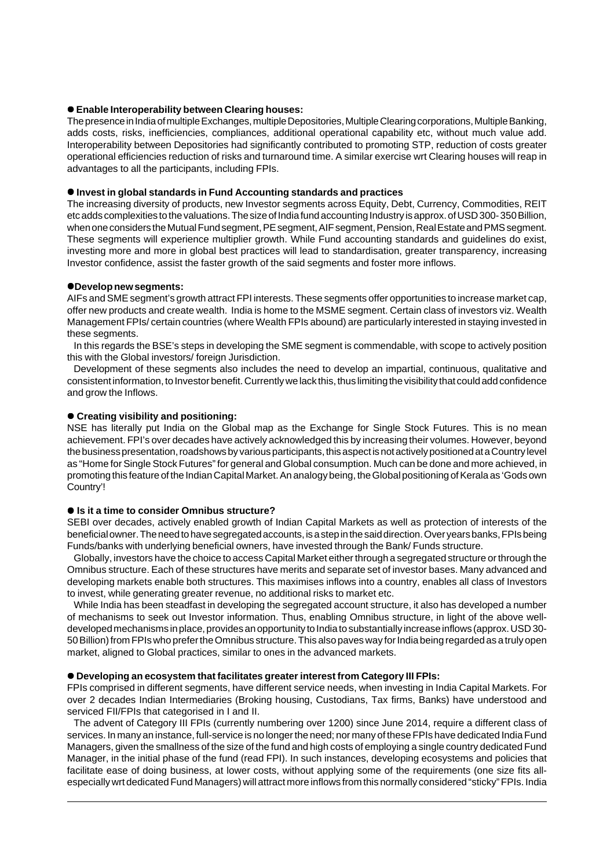# $\bullet$  Enable Interoperability between Clearing houses:

The presence in India of multiple Exchanges, multiple Depositories, Multiple Clearing corporations, Multiple Banking, adds costs, risks, inefficiencies, compliances, additional operational capability etc, without much value add. Interoperability between Depositories had significantly contributed to promoting STP, reduction of costs greater operational efficiencies reduction of risks and turnaround time. A similar exercise wrt Clearing houses will reap in advantages to all the participants, including FPIs.

# $\bullet$  Invest in global standards in Fund Accounting standards and practices

The increasing diversity of products, new Investor segments across Equity, Debt, Currency, Commodities, REIT etc adds complexities to the valuations. The size of India fund accounting Industry is approx. of USD 300- 350 Billion, when one considers the Mutual Fund segment, PE segment, AIF segment, Pension, Real Estate and PMS segment. These segments will experience multiplier growth. While Fund accounting standards and guidelines do exist, investing more and more in global best practices will lead to standardisation, greater transparency, increasing Investor confidence, assist the faster growth of the said segments and foster more inflows.

# z**Develop new segments:**

AIFs and SME segment's growth attract FPI interests. These segments offer opportunities to increase market cap, offer new products and create wealth. India is home to the MSME segment. Certain class of investors viz. Wealth Management FPIs/ certain countries (where Wealth FPIs abound) are particularly interested in staying invested in these segments.

In this regards the BSE's steps in developing the SME segment is commendable, with scope to actively position this with the Global investors/ foreign Jurisdiction.

Development of these segments also includes the need to develop an impartial, continuous, qualitative and consistent information, to Investor benefit. Currently we lack this, thus limiting the visibility that could add confidence and grow the Inflows.

# $\bullet$  **Creating visibility and positioning:**

NSE has literally put India on the Global map as the Exchange for Single Stock Futures. This is no mean achievement. FPI's over decades have actively acknowledged this by increasing their volumes. However, beyond the business presentation, roadshows by various participants, this aspect is not actively positioned at a Country level as "Home for Single Stock Futures" for general and Global consumption. Much can be done and more achieved, in promoting this feature of the Indian Capital Market. An analogy being, the Global positioning of Kerala as 'Gods own Country'!

# **● Is it a time to consider Omnibus structure?**

SEBI over decades, actively enabled growth of Indian Capital Markets as well as protection of interests of the beneficial owner. The need to have segregated accounts, is a step in the said direction. Over years banks, FPIs being Funds/banks with underlying beneficial owners, have invested through the Bank/ Funds structure.

Globally, investors have the choice to access Capital Market either through a segregated structure or through the Omnibus structure. Each of these structures have merits and separate set of investor bases. Many advanced and developing markets enable both structures. This maximises inflows into a country, enables all class of Investors to invest, while generating greater revenue, no additional risks to market etc.

While India has been steadfast in developing the segregated account structure, it also has developed a number of mechanisms to seek out Investor information. Thus, enabling Omnibus structure, in light of the above welldeveloped mechanisms in place, provides an opportunity to India to substantially increase inflows (approx. USD 30- 50 Billion) from FPIs who prefer the Omnibus structure. This also paves way for India being regarded as a truly open market, aligned to Global practices, similar to ones in the advanced markets.

# $\bullet$  Developing an ecosystem that facilitates greater interest from Category III FPIs:

FPIs comprised in different segments, have different service needs, when investing in India Capital Markets. For over 2 decades Indian Intermediaries (Broking housing, Custodians, Tax firms, Banks) have understood and serviced FII/FPIs that categorised in I and II.

The advent of Category III FPIs (currently numbering over 1200) since June 2014, require a different class of services. In many an instance, full-service is no longer the need; nor many of these FPIs have dedicated India Fund Managers, given the smallness of the size of the fund and high costs of employing a single country dedicated Fund Manager, in the initial phase of the fund (read FPI). In such instances, developing ecosystems and policies that facilitate ease of doing business, at lower costs, without applying some of the requirements (one size fits allespecially wrt dedicated Fund Managers) will attract more inflows from this normally considered "sticky" FPIs. India